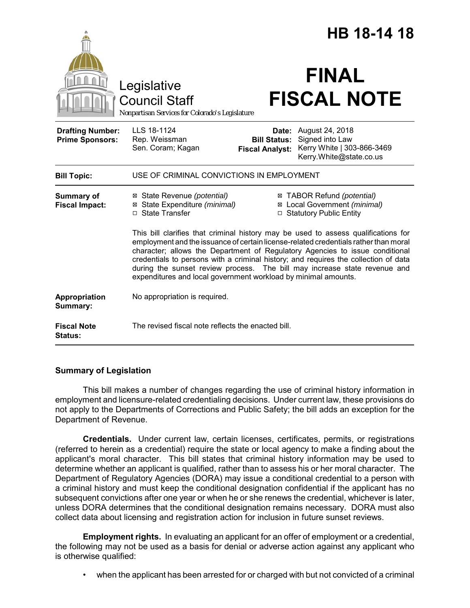|                                                   |                                                                                                                                                                                                                                                                                                                                                                                                                                                                                                  |                                                        | HB 18-14 18                                                                                 |  |
|---------------------------------------------------|--------------------------------------------------------------------------------------------------------------------------------------------------------------------------------------------------------------------------------------------------------------------------------------------------------------------------------------------------------------------------------------------------------------------------------------------------------------------------------------------------|--------------------------------------------------------|---------------------------------------------------------------------------------------------|--|
|                                                   | Legislative<br><b>Council Staff</b><br>Nonpartisan Services for Colorado's Legislature                                                                                                                                                                                                                                                                                                                                                                                                           |                                                        | <b>FINAL</b><br><b>FISCAL NOTE</b>                                                          |  |
| <b>Drafting Number:</b><br><b>Prime Sponsors:</b> | LLS 18-1124<br>Rep. Weissman<br>Sen. Coram; Kagan                                                                                                                                                                                                                                                                                                                                                                                                                                                | Date:<br><b>Bill Status:</b><br><b>Fiscal Analyst:</b> | August 24, 2018<br>Signed into Law<br>Kerry White   303-866-3469<br>Kerry.White@state.co.us |  |
| <b>Bill Topic:</b>                                | USE OF CRIMINAL CONVICTIONS IN EMPLOYMENT                                                                                                                                                                                                                                                                                                                                                                                                                                                        |                                                        |                                                                                             |  |
| Summary of<br><b>Fiscal Impact:</b>               | ⊠ State Revenue (potential)<br>⊠ State Expenditure (minimal)<br>□ State Transfer                                                                                                                                                                                                                                                                                                                                                                                                                 |                                                        | ⊠ TABOR Refund (potential)<br>⊠ Local Government (minimal)<br>□ Statutory Public Entity     |  |
|                                                   | This bill clarifies that criminal history may be used to assess qualifications for<br>employment and the issuance of certain license-related credentials rather than moral<br>character; allows the Department of Regulatory Agencies to issue conditional<br>credentials to persons with a criminal history; and requires the collection of data<br>during the sunset review process. The bill may increase state revenue and<br>expenditures and local government workload by minimal amounts. |                                                        |                                                                                             |  |
| Appropriation<br>Summary:                         | No appropriation is required.                                                                                                                                                                                                                                                                                                                                                                                                                                                                    |                                                        |                                                                                             |  |
| <b>Fiscal Note</b><br><b>Status:</b>              | The revised fiscal note reflects the enacted bill.                                                                                                                                                                                                                                                                                                                                                                                                                                               |                                                        |                                                                                             |  |

## **Summary of Legislation**

This bill makes a number of changes regarding the use of criminal history information in employment and licensure-related credentialing decisions. Under current law, these provisions do not apply to the Departments of Corrections and Public Safety; the bill adds an exception for the Department of Revenue.

**Credentials.** Under current law, certain licenses, certificates, permits, or registrations (referred to herein as a credential) require the state or local agency to make a finding about the applicant's moral character. This bill states that criminal history information may be used to determine whether an applicant is qualified, rather than to assess his or her moral character. The Department of Regulatory Agencies (DORA) may issue a conditional credential to a person with a criminal history and must keep the conditional designation confidential if the applicant has no subsequent convictions after one year or when he or she renews the credential, whichever is later, unless DORA determines that the conditional designation remains necessary. DORA must also collect data about licensing and registration action for inclusion in future sunset reviews.

**Employment rights.** In evaluating an applicant for an offer of employment or a credential, the following may not be used as a basis for denial or adverse action against any applicant who is otherwise qualified:

• when the applicant has been arrested for or charged with but not convicted of a criminal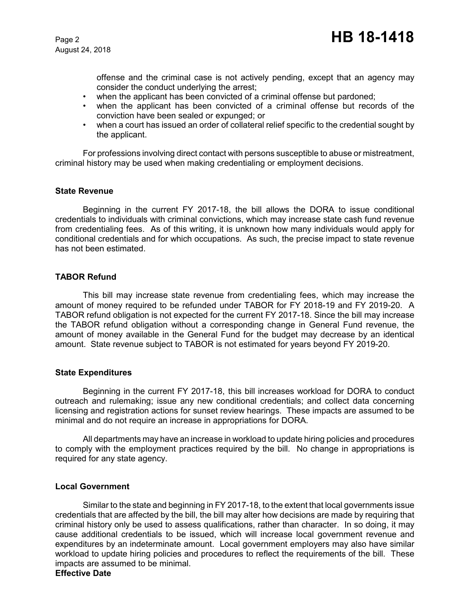offense and the criminal case is not actively pending, except that an agency may consider the conduct underlying the arrest;

- when the applicant has been convicted of a criminal offense but pardoned;
- when the applicant has been convicted of a criminal offense but records of the conviction have been sealed or expunged; or
- when a court has issued an order of collateral relief specific to the credential sought by the applicant.

For professions involving direct contact with persons susceptible to abuse or mistreatment, criminal history may be used when making credentialing or employment decisions.

### **State Revenue**

Beginning in the current FY 2017-18, the bill allows the DORA to issue conditional credentials to individuals with criminal convictions, which may increase state cash fund revenue from credentialing fees. As of this writing, it is unknown how many individuals would apply for conditional credentials and for which occupations. As such, the precise impact to state revenue has not been estimated.

### **TABOR Refund**

This bill may increase state revenue from credentialing fees, which may increase the amount of money required to be refunded under TABOR for FY 2018-19 and FY 2019-20. A TABOR refund obligation is not expected for the current FY 2017-18. Since the bill may increase the TABOR refund obligation without a corresponding change in General Fund revenue, the amount of money available in the General Fund for the budget may decrease by an identical amount. State revenue subject to TABOR is not estimated for years beyond FY 2019-20.

### **State Expenditures**

Beginning in the current FY 2017-18, this bill increases workload for DORA to conduct outreach and rulemaking; issue any new conditional credentials; and collect data concerning licensing and registration actions for sunset review hearings. These impacts are assumed to be minimal and do not require an increase in appropriations for DORA.

All departments may have an increase in workload to update hiring policies and procedures to comply with the employment practices required by the bill. No change in appropriations is required for any state agency.

### **Local Government**

Similar to the state and beginning in FY 2017-18, to the extent that local governments issue credentials that are affected by the bill, the bill may alter how decisions are made by requiring that criminal history only be used to assess qualifications, rather than character. In so doing, it may cause additional credentials to be issued, which will increase local government revenue and expenditures by an indeterminate amount. Local government employers may also have similar workload to update hiring policies and procedures to reflect the requirements of the bill. These impacts are assumed to be minimal.